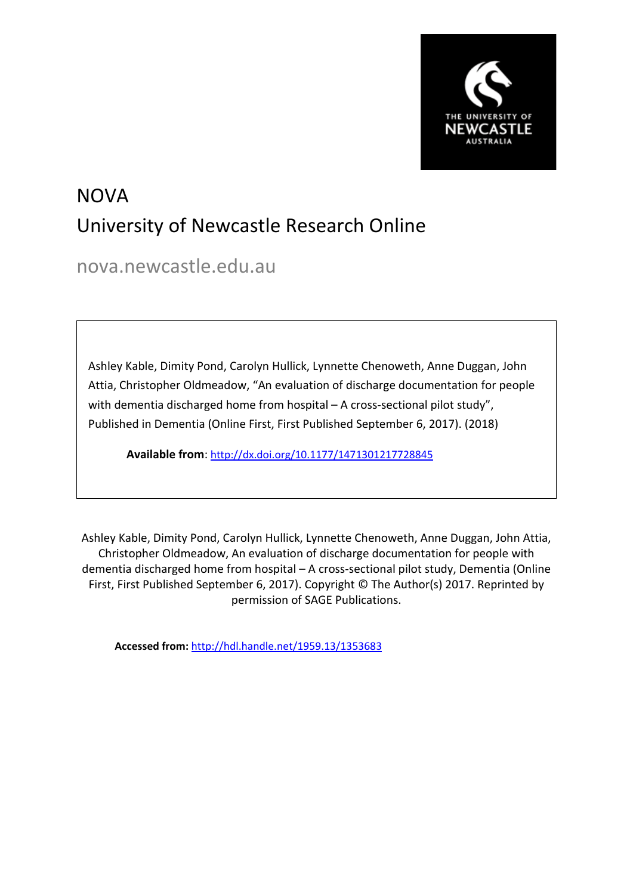

# NOVA University of Newcastle Research Online

nova.newcastle.edu.au

Ashley Kable, Dimity Pond, Carolyn Hullick, Lynnette Chenoweth, Anne Duggan, John Attia, Christopher Oldmeadow, "An evaluation of discharge documentation for people with dementia discharged home from hospital – A cross-sectional pilot study", Published in Dementia (Online First, First Published September 6, 2017). (2018)

**Available from**: <http://dx.doi.org/10.1177/1471301217728845>

Ashley Kable, Dimity Pond, Carolyn Hullick, Lynnette Chenoweth, Anne Duggan, John Attia, Christopher Oldmeadow, An evaluation of discharge documentation for people with dementia discharged home from hospital – A cross-sectional pilot study, Dementia (Online First, First Published September 6, 2017). Copyright © The Author(s) 2017. Reprinted by permission of SAGE Publications.

**Accessed from:** <http://hdl.handle.net/1959.13/1353683>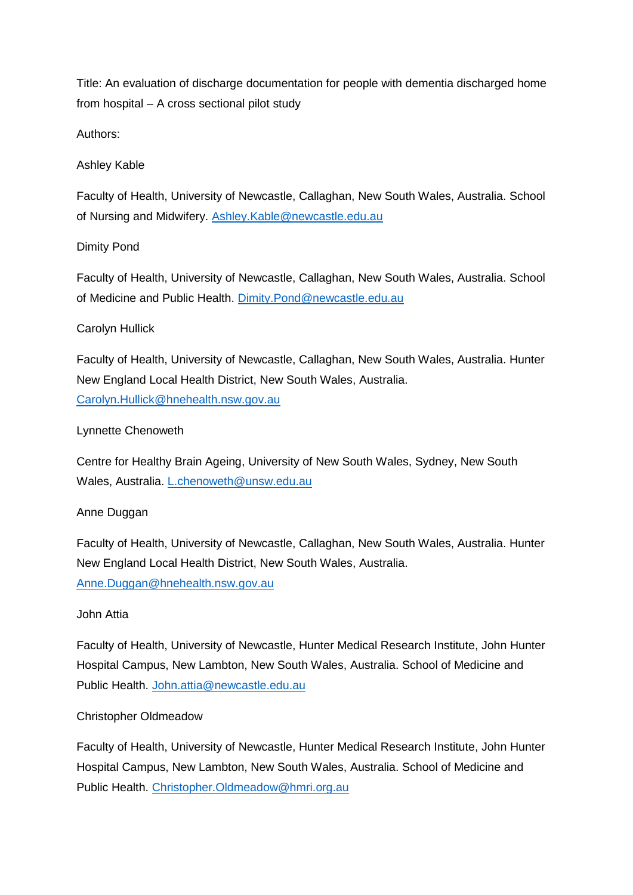Title: An evaluation of discharge documentation for people with dementia discharged home from hospital – A cross sectional pilot study

Authors:

# Ashley Kable

Faculty of Health, University of Newcastle, Callaghan, New South Wales, Australia. School of Nursing and Midwifery. [Ashley.Kable@newcastle.edu.au](mailto:Ashley.Kable@newcastle.edu.au)

# Dimity Pond

Faculty of Health, University of Newcastle, Callaghan, New South Wales, Australia. School of Medicine and Public Health. [Dimity.Pond@newcastle.edu.au](mailto:Dimity.Pond@newcastle.edu.au)

# Carolyn Hullick

Faculty of Health, University of Newcastle, Callaghan, New South Wales, Australia. Hunter New England Local Health District, New South Wales, Australia. [Carolyn.Hullick@hnehealth.nsw.gov.au](mailto:Carolyn.Hullick@hnehealth.nsw.gov.au)

# Lynnette Chenoweth

Centre for Healthy Brain Ageing, University of New South Wales, Sydney, New South Wales, Australia. [L.chenoweth@unsw.edu.au](mailto:L.chenoweth@unsw.edu.au)

# Anne Duggan

Faculty of Health, University of Newcastle, Callaghan, New South Wales, Australia. Hunter New England Local Health District, New South Wales, Australia. [Anne.Duggan@hnehealth.nsw.gov.au](mailto:Anne.Duggan@hnehealth.nsw.gov.au)

# John Attia

Faculty of Health, University of Newcastle, Hunter Medical Research Institute, John Hunter Hospital Campus, New Lambton, New South Wales, Australia. School of Medicine and Public Health. [John.attia@newcastle.edu.au](mailto:John.attia@newcastle.edu.au)

# Christopher Oldmeadow

Faculty of Health, University of Newcastle, Hunter Medical Research Institute, John Hunter Hospital Campus, New Lambton, New South Wales, Australia. School of Medicine and Public Health. [Christopher.Oldmeadow@hmri.org.au](mailto:Christopher.Oldmeadow@hmri.org.au)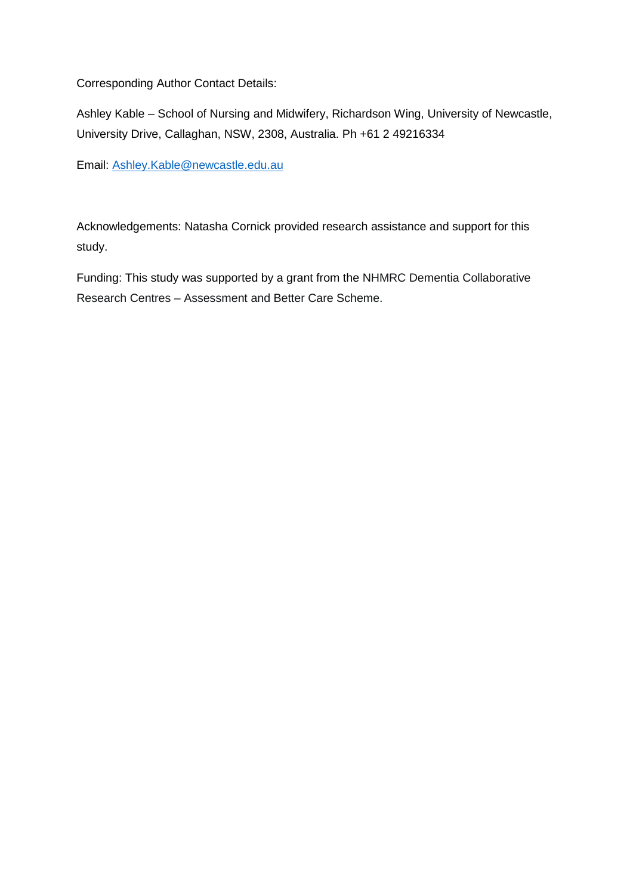Corresponding Author Contact Details:

Ashley Kable – School of Nursing and Midwifery, Richardson Wing, University of Newcastle, University Drive, Callaghan, NSW, 2308, Australia. Ph +61 2 49216334

Email: [Ashley.Kable@newcastle.edu.au](mailto:Ashley.Kable@newcastle.edu.au)

Acknowledgements: Natasha Cornick provided research assistance and support for this study.

Funding: This study was supported by a grant from the NHMRC Dementia Collaborative Research Centres – Assessment and Better Care Scheme.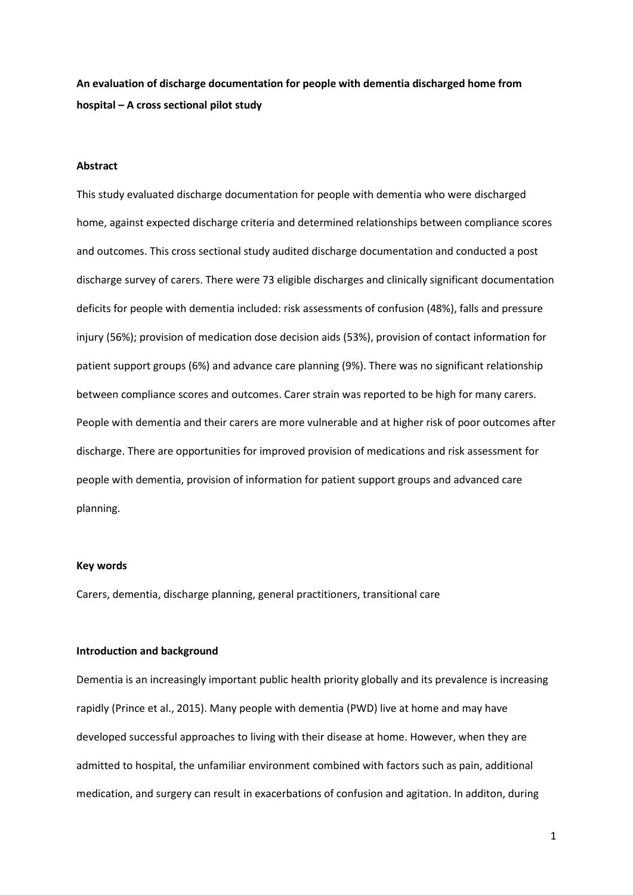**An evaluation of discharge documentation for people with dementia discharged home from hospital – A cross sectional pilot study**

#### **Abstract**

This study evaluated discharge documentation for people with dementia who were discharged home, against expected discharge criteria and determined relationships between compliance scores and outcomes. This cross sectional study audited discharge documentation and conducted a post discharge survey of carers. There were 73 eligible discharges and clinically significant documentation deficits for people with dementia included: risk assessments of confusion (48%), falls and pressure injury (56%); provision of medication dose decision aids (53%), provision of contact information for patient support groups (6%) and advance care planning (9%). There was no significant relationship between compliance scores and outcomes. Carer strain was reported to be high for many carers. People with dementia and their carers are more vulnerable and at higher risk of poor outcomes after discharge. There are opportunities for improved provision of medications and risk assessment for people with dementia, provision of information for patient support groups and advanced care planning.

## **Key words**

Carers, dementia, discharge planning, general practitioners, transitional care

#### **Introduction and background**

Dementia is an increasingly important public health priority globally and its prevalence is increasing rapidly (Prince et al., 2015). Many people with dementia (PWD) live at home and may have developed successful approaches to living with their disease at home. However, when they are admitted to hospital, the unfamiliar environment combined with factors such as pain, additional medication, and surgery can result in exacerbations of confusion and agitation. In additon, during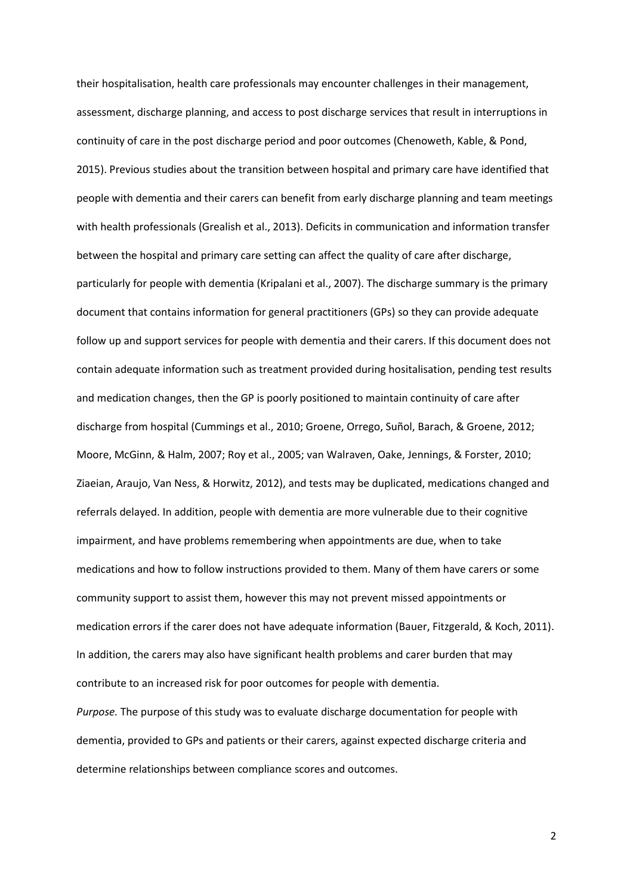their hospitalisation, health care professionals may encounter challenges in their management, assessment, discharge planning, and access to post discharge services that result in interruptions in continuity of care in the post discharge period and poor outcomes (Chenoweth, Kable, & Pond, 2015). Previous studies about the transition between hospital and primary care have identified that people with dementia and their carers can benefit from early discharge planning and team meetings with health professionals (Grealish et al., 2013). Deficits in communication and information transfer between the hospital and primary care setting can affect the quality of care after discharge, particularly for people with dementia (Kripalani et al., 2007). The discharge summary is the primary document that contains information for general practitioners (GPs) so they can provide adequate follow up and support services for people with dementia and their carers. If this document does not contain adequate information such as treatment provided during hositalisation, pending test results and medication changes, then the GP is poorly positioned to maintain continuity of care after discharge from hospital (Cummings et al., 2010; Groene, Orrego, Suñol, Barach, & Groene, 2012; Moore, McGinn, & Halm, 2007; Roy et al., 2005; van Walraven, Oake, Jennings, & Forster, 2010; Ziaeian, Araujo, Van Ness, & Horwitz, 2012), and tests may be duplicated, medications changed and referrals delayed. In addition, people with dementia are more vulnerable due to their cognitive impairment, and have problems remembering when appointments are due, when to take medications and how to follow instructions provided to them. Many of them have carers or some community support to assist them, however this may not prevent missed appointments or medication errors if the carer does not have adequate information (Bauer, Fitzgerald, & Koch, 2011). In addition, the carers may also have significant health problems and carer burden that may contribute to an increased risk for poor outcomes for people with dementia.

*Purpose.* The purpose of this study was to evaluate discharge documentation for people with dementia, provided to GPs and patients or their carers, against expected discharge criteria and determine relationships between compliance scores and outcomes.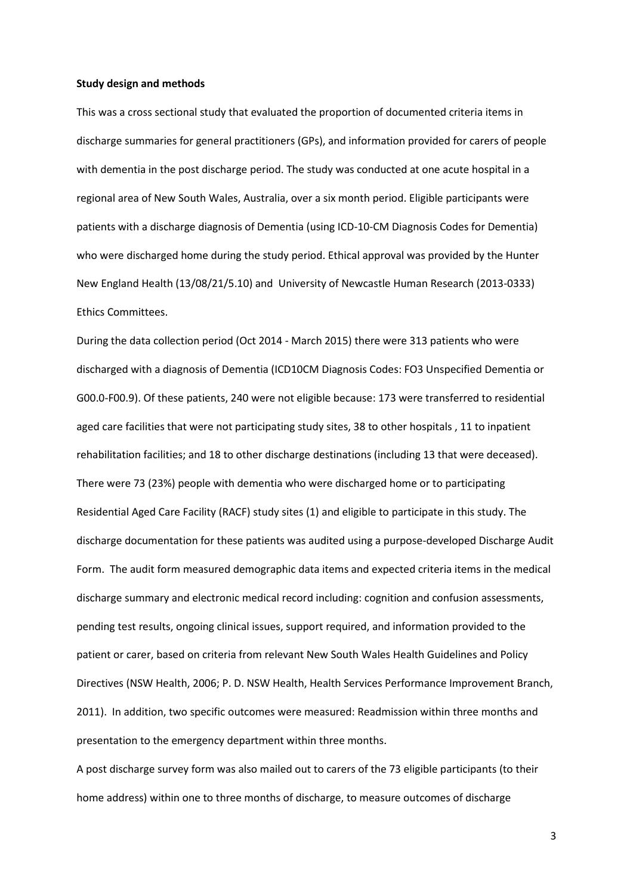#### **Study design and methods**

This was a cross sectional study that evaluated the proportion of documented criteria items in discharge summaries for general practitioners (GPs), and information provided for carers of people with dementia in the post discharge period. The study was conducted at one acute hospital in a regional area of New South Wales, Australia, over a six month period. Eligible participants were patients with a discharge diagnosis of Dementia (using ICD-10-CM Diagnosis Codes for Dementia) who were discharged home during the study period. Ethical approval was provided by the Hunter New England Health (13/08/21/5.10) and University of Newcastle Human Research (2013-0333) Ethics Committees.

During the data collection period (Oct 2014 - March 2015) there were 313 patients who were discharged with a diagnosis of Dementia (ICD10CM Diagnosis Codes: FO3 Unspecified Dementia or G00.0-F00.9). Of these patients, 240 were not eligible because: 173 were transferred to residential aged care facilities that were not participating study sites, 38 to other hospitals , 11 to inpatient rehabilitation facilities; and 18 to other discharge destinations (including 13 that were deceased). There were 73 (23%) people with dementia who were discharged home or to participating Residential Aged Care Facility (RACF) study sites (1) and eligible to participate in this study. The discharge documentation for these patients was audited using a purpose-developed Discharge Audit Form. The audit form measured demographic data items and expected criteria items in the medical discharge summary and electronic medical record including: cognition and confusion assessments, pending test results, ongoing clinical issues, support required, and information provided to the patient or carer, based on criteria from relevant New South Wales Health Guidelines and Policy Directives (NSW Health, 2006; P. D. NSW Health, Health Services Performance Improvement Branch, 2011). In addition, two specific outcomes were measured: Readmission within three months and presentation to the emergency department within three months.

A post discharge survey form was also mailed out to carers of the 73 eligible participants (to their home address) within one to three months of discharge, to measure outcomes of discharge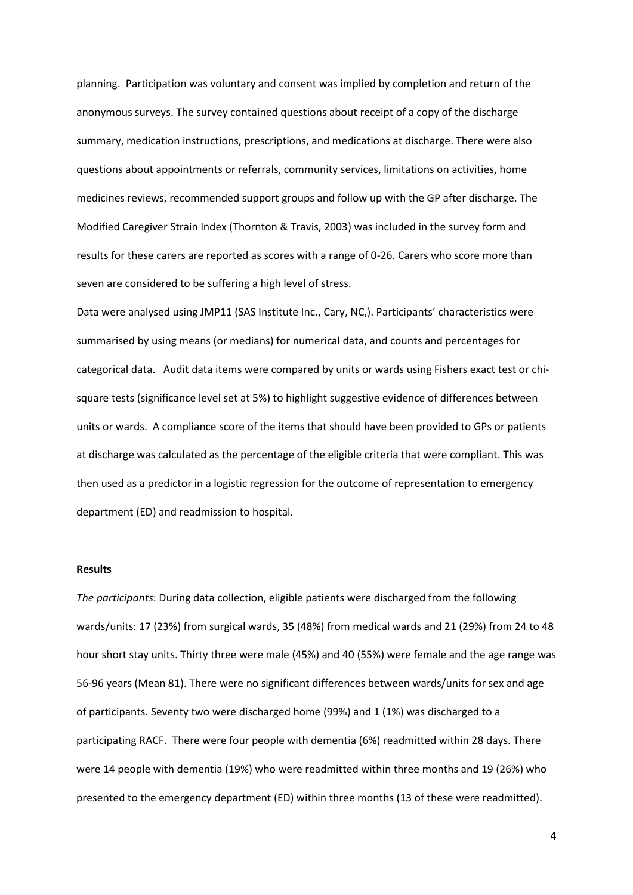planning. Participation was voluntary and consent was implied by completion and return of the anonymous surveys. The survey contained questions about receipt of a copy of the discharge summary, medication instructions, prescriptions, and medications at discharge. There were also questions about appointments or referrals, community services, limitations on activities, home medicines reviews, recommended support groups and follow up with the GP after discharge. The Modified Caregiver Strain Index (Thornton & Travis, 2003) was included in the survey form and results for these carers are reported as scores with a range of 0-26. Carers who score more than seven are considered to be suffering a high level of stress.

Data were analysed using JMP11 (SAS Institute Inc., Cary, NC,). Participants' characteristics were summarised by using means (or medians) for numerical data, and counts and percentages for categorical data. Audit data items were compared by units or wards using Fishers exact test or chisquare tests (significance level set at 5%) to highlight suggestive evidence of differences between units or wards. A compliance score of the items that should have been provided to GPs or patients at discharge was calculated as the percentage of the eligible criteria that were compliant. This was then used as a predictor in a logistic regression for the outcome of representation to emergency department (ED) and readmission to hospital.

#### **Results**

*The participants*: During data collection, eligible patients were discharged from the following wards/units: 17 (23%) from surgical wards, 35 (48%) from medical wards and 21 (29%) from 24 to 48 hour short stay units. Thirty three were male (45%) and 40 (55%) were female and the age range was 56-96 years (Mean 81). There were no significant differences between wards/units for sex and age of participants. Seventy two were discharged home (99%) and 1 (1%) was discharged to a participating RACF. There were four people with dementia (6%) readmitted within 28 days. There were 14 people with dementia (19%) who were readmitted within three months and 19 (26%) who presented to the emergency department (ED) within three months (13 of these were readmitted).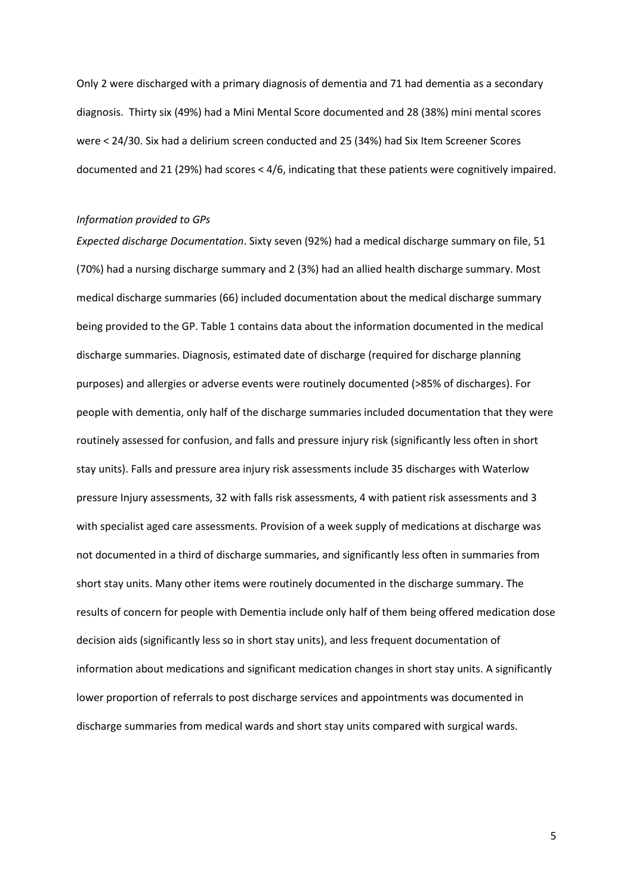Only 2 were discharged with a primary diagnosis of dementia and 71 had dementia as a secondary diagnosis. Thirty six (49%) had a Mini Mental Score documented and 28 (38%) mini mental scores were < 24/30. Six had a delirium screen conducted and 25 (34%) had Six Item Screener Scores documented and 21 (29%) had scores < 4/6, indicating that these patients were cognitively impaired.

## *Information provided to GPs*

*Expected discharge Documentation*. Sixty seven (92%) had a medical discharge summary on file, 51 (70%) had a nursing discharge summary and 2 (3%) had an allied health discharge summary. Most medical discharge summaries (66) included documentation about the medical discharge summary being provided to the GP. Table 1 contains data about the information documented in the medical discharge summaries. Diagnosis, estimated date of discharge (required for discharge planning purposes) and allergies or adverse events were routinely documented (>85% of discharges). For people with dementia, only half of the discharge summaries included documentation that they were routinely assessed for confusion, and falls and pressure injury risk (significantly less often in short stay units). Falls and pressure area injury risk assessments include 35 discharges with Waterlow pressure Injury assessments, 32 with falls risk assessments, 4 with patient risk assessments and 3 with specialist aged care assessments. Provision of a week supply of medications at discharge was not documented in a third of discharge summaries, and significantly less often in summaries from short stay units. Many other items were routinely documented in the discharge summary. The results of concern for people with Dementia include only half of them being offered medication dose decision aids (significantly less so in short stay units), and less frequent documentation of information about medications and significant medication changes in short stay units. A significantly lower proportion of referrals to post discharge services and appointments was documented in discharge summaries from medical wards and short stay units compared with surgical wards.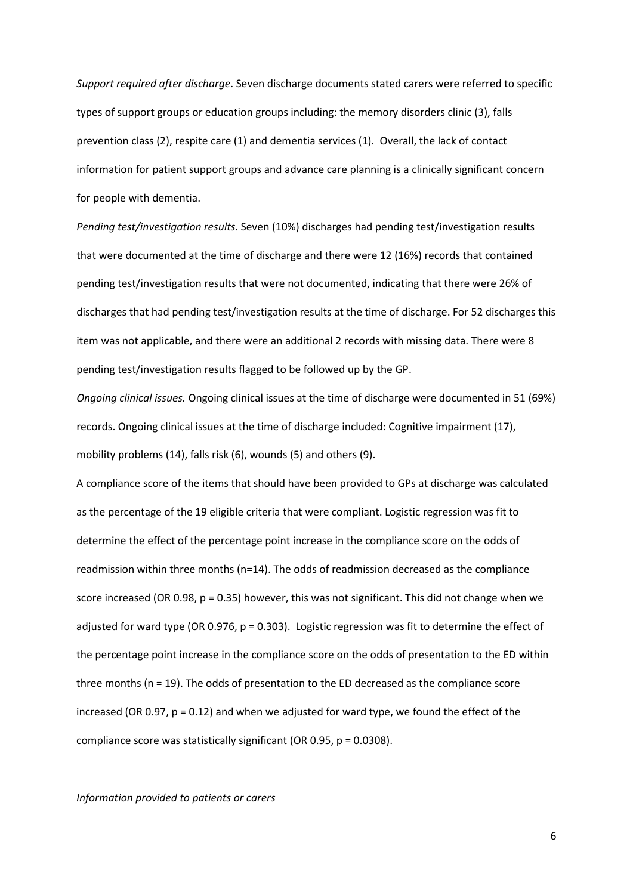*Support required after discharge*. Seven discharge documents stated carers were referred to specific types of support groups or education groups including: the memory disorders clinic (3), falls prevention class (2), respite care (1) and dementia services (1). Overall, the lack of contact information for patient support groups and advance care planning is a clinically significant concern for people with dementia.

*Pending test/investigation results*. Seven (10%) discharges had pending test/investigation results that were documented at the time of discharge and there were 12 (16%) records that contained pending test/investigation results that were not documented, indicating that there were 26% of discharges that had pending test/investigation results at the time of discharge. For 52 discharges this item was not applicable, and there were an additional 2 records with missing data. There were 8 pending test/investigation results flagged to be followed up by the GP.

*Ongoing clinical issues.* Ongoing clinical issues at the time of discharge were documented in 51 (69%) records. Ongoing clinical issues at the time of discharge included: Cognitive impairment (17), mobility problems (14), falls risk (6), wounds (5) and others (9).

A compliance score of the items that should have been provided to GPs at discharge was calculated as the percentage of the 19 eligible criteria that were compliant. Logistic regression was fit to determine the effect of the percentage point increase in the compliance score on the odds of readmission within three months (n=14). The odds of readmission decreased as the compliance score increased (OR 0.98, p = 0.35) however, this was not significant. This did not change when we adjusted for ward type (OR 0.976,  $p = 0.303$ ). Logistic regression was fit to determine the effect of the percentage point increase in the compliance score on the odds of presentation to the ED within three months (n = 19). The odds of presentation to the ED decreased as the compliance score increased (OR 0.97,  $p = 0.12$ ) and when we adjusted for ward type, we found the effect of the compliance score was statistically significant (OR 0.95,  $p = 0.0308$ ).

*Information provided to patients or carers*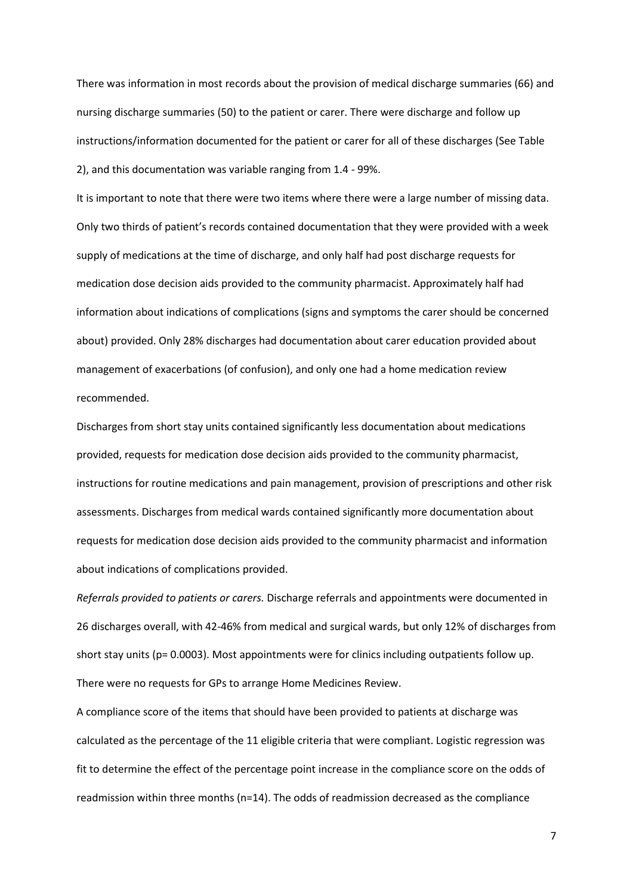There was information in most records about the provision of medical discharge summaries (66) and nursing discharge summaries (50) to the patient or carer. There were discharge and follow up instructions/information documented for the patient or carer for all of these discharges (See Table 2), and this documentation was variable ranging from 1.4 - 99%.

It is important to note that there were two items where there were a large number of missing data. Only two thirds of patient's records contained documentation that they were provided with a week supply of medications at the time of discharge, and only half had post discharge requests for medication dose decision aids provided to the community pharmacist. Approximately half had information about indications of complications (signs and symptoms the carer should be concerned about) provided. Only 28% discharges had documentation about carer education provided about management of exacerbations (of confusion), and only one had a home medication review recommended.

Discharges from short stay units contained significantly less documentation about medications provided, requests for medication dose decision aids provided to the community pharmacist, instructions for routine medications and pain management, provision of prescriptions and other risk assessments. Discharges from medical wards contained significantly more documentation about requests for medication dose decision aids provided to the community pharmacist and information about indications of complications provided.

*Referrals provided to patients or carers.* Discharge referrals and appointments were documented in 26 discharges overall, with 42-46% from medical and surgical wards, but only 12% of discharges from short stay units (p= 0.0003). Most appointments were for clinics including outpatients follow up. There were no requests for GPs to arrange Home Medicines Review.

A compliance score of the items that should have been provided to patients at discharge was calculated as the percentage of the 11 eligible criteria that were compliant. Logistic regression was fit to determine the effect of the percentage point increase in the compliance score on the odds of readmission within three months (n=14). The odds of readmission decreased as the compliance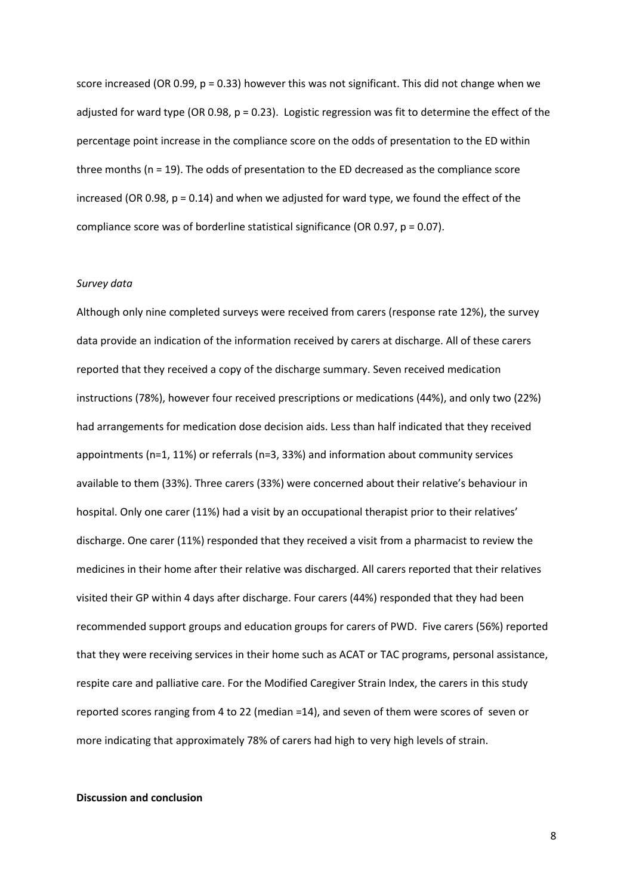score increased (OR 0.99,  $p = 0.33$ ) however this was not significant. This did not change when we adjusted for ward type (OR 0.98,  $p = 0.23$ ). Logistic regression was fit to determine the effect of the percentage point increase in the compliance score on the odds of presentation to the ED within three months (n = 19). The odds of presentation to the ED decreased as the compliance score increased (OR 0.98,  $p = 0.14$ ) and when we adjusted for ward type, we found the effect of the compliance score was of borderline statistical significance (OR 0.97, p = 0.07).

## *Survey data*

Although only nine completed surveys were received from carers (response rate 12%), the survey data provide an indication of the information received by carers at discharge. All of these carers reported that they received a copy of the discharge summary. Seven received medication instructions (78%), however four received prescriptions or medications (44%), and only two (22%) had arrangements for medication dose decision aids. Less than half indicated that they received appointments (n=1, 11%) or referrals (n=3, 33%) and information about community services available to them (33%). Three carers (33%) were concerned about their relative's behaviour in hospital. Only one carer (11%) had a visit by an occupational therapist prior to their relatives' discharge. One carer (11%) responded that they received a visit from a pharmacist to review the medicines in their home after their relative was discharged. All carers reported that their relatives visited their GP within 4 days after discharge. Four carers (44%) responded that they had been recommended support groups and education groups for carers of PWD. Five carers (56%) reported that they were receiving services in their home such as ACAT or TAC programs, personal assistance, respite care and palliative care. For the Modified Caregiver Strain Index, the carers in this study reported scores ranging from 4 to 22 (median =14), and seven of them were scores of seven or more indicating that approximately 78% of carers had high to very high levels of strain.

## **Discussion and conclusion**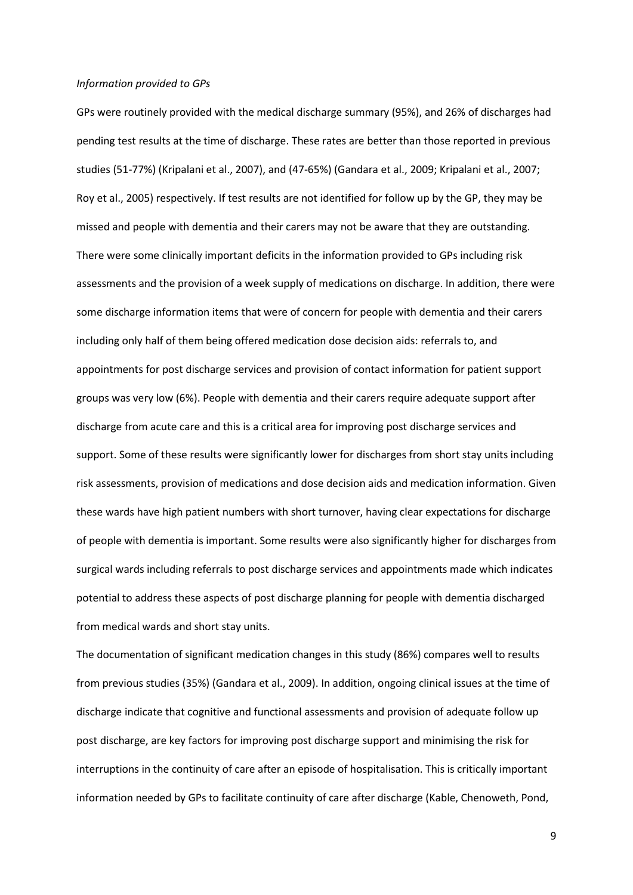#### *Information provided to GPs*

GPs were routinely provided with the medical discharge summary (95%), and 26% of discharges had pending test results at the time of discharge. These rates are better than those reported in previous studies (51-77%) (Kripalani et al., 2007), and (47-65%) (Gandara et al., 2009; Kripalani et al., 2007; Roy et al., 2005) respectively. If test results are not identified for follow up by the GP, they may be missed and people with dementia and their carers may not be aware that they are outstanding. There were some clinically important deficits in the information provided to GPs including risk assessments and the provision of a week supply of medications on discharge. In addition, there were some discharge information items that were of concern for people with dementia and their carers including only half of them being offered medication dose decision aids: referrals to, and appointments for post discharge services and provision of contact information for patient support groups was very low (6%). People with dementia and their carers require adequate support after discharge from acute care and this is a critical area for improving post discharge services and support. Some of these results were significantly lower for discharges from short stay units including risk assessments, provision of medications and dose decision aids and medication information. Given these wards have high patient numbers with short turnover, having clear expectations for discharge of people with dementia is important. Some results were also significantly higher for discharges from surgical wards including referrals to post discharge services and appointments made which indicates potential to address these aspects of post discharge planning for people with dementia discharged from medical wards and short stay units.

The documentation of significant medication changes in this study (86%) compares well to results from previous studies (35%) (Gandara et al., 2009). In addition, ongoing clinical issues at the time of discharge indicate that cognitive and functional assessments and provision of adequate follow up post discharge, are key factors for improving post discharge support and minimising the risk for interruptions in the continuity of care after an episode of hospitalisation. This is critically important information needed by GPs to facilitate continuity of care after discharge (Kable, Chenoweth, Pond,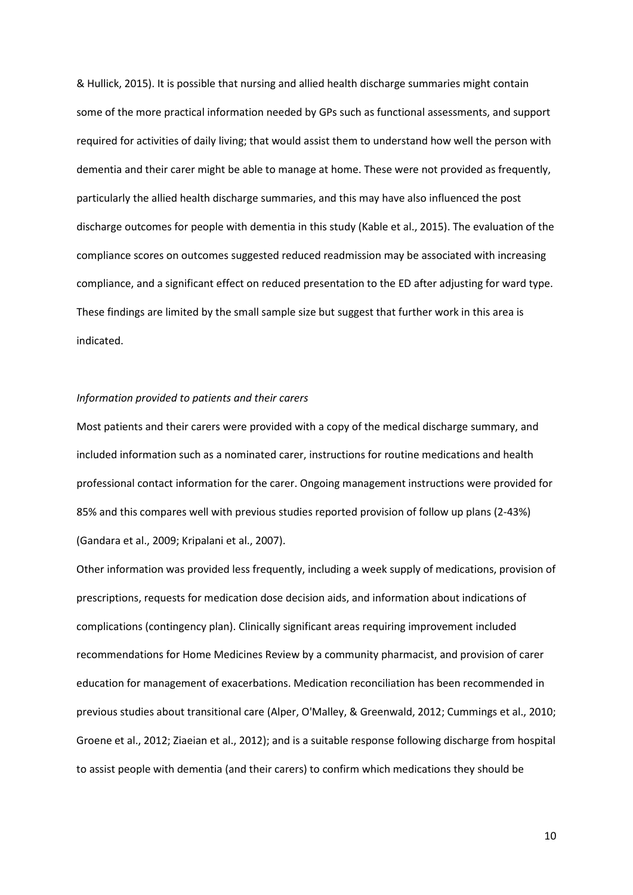& Hullick, 2015). It is possible that nursing and allied health discharge summaries might contain some of the more practical information needed by GPs such as functional assessments, and support required for activities of daily living; that would assist them to understand how well the person with dementia and their carer might be able to manage at home. These were not provided as frequently, particularly the allied health discharge summaries, and this may have also influenced the post discharge outcomes for people with dementia in this study (Kable et al., 2015). The evaluation of the compliance scores on outcomes suggested reduced readmission may be associated with increasing compliance, and a significant effect on reduced presentation to the ED after adjusting for ward type. These findings are limited by the small sample size but suggest that further work in this area is indicated.

#### *Information provided to patients and their carers*

Most patients and their carers were provided with a copy of the medical discharge summary, and included information such as a nominated carer, instructions for routine medications and health professional contact information for the carer. Ongoing management instructions were provided for 85% and this compares well with previous studies reported provision of follow up plans (2-43%) (Gandara et al., 2009; Kripalani et al., 2007).

Other information was provided less frequently, including a week supply of medications, provision of prescriptions, requests for medication dose decision aids, and information about indications of complications (contingency plan). Clinically significant areas requiring improvement included recommendations for Home Medicines Review by a community pharmacist, and provision of carer education for management of exacerbations. Medication reconciliation has been recommended in previous studies about transitional care (Alper, O'Malley, & Greenwald, 2012; Cummings et al., 2010; Groene et al., 2012; Ziaeian et al., 2012); and is a suitable response following discharge from hospital to assist people with dementia (and their carers) to confirm which medications they should be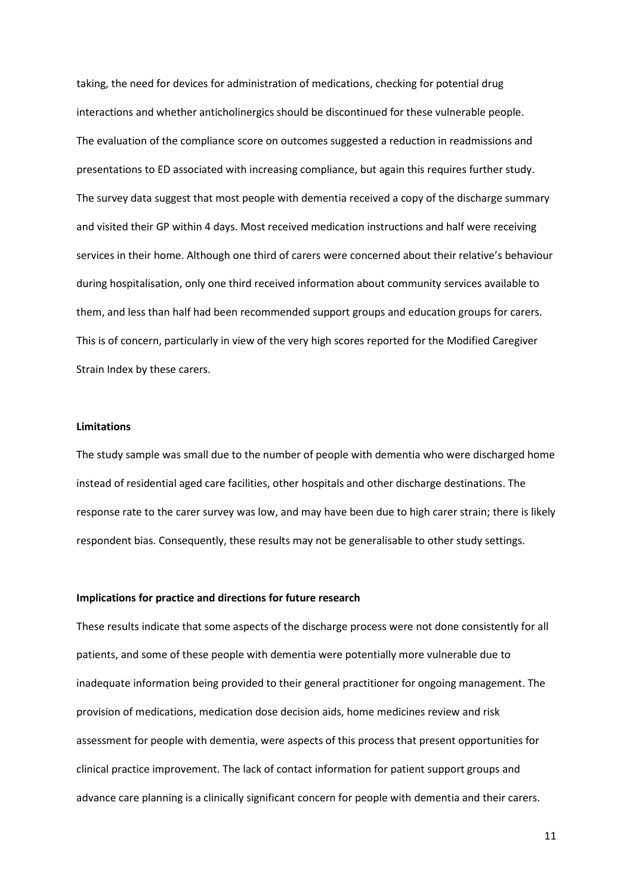taking, the need for devices for administration of medications, checking for potential drug interactions and whether anticholinergics should be discontinued for these vulnerable people. The evaluation of the compliance score on outcomes suggested a reduction in readmissions and presentations to ED associated with increasing compliance, but again this requires further study. The survey data suggest that most people with dementia received a copy of the discharge summary and visited their GP within 4 days. Most received medication instructions and half were receiving services in their home. Although one third of carers were concerned about their relative's behaviour during hospitalisation, only one third received information about community services available to them, and less than half had been recommended support groups and education groups for carers. This is of concern, particularly in view of the very high scores reported for the Modified Caregiver Strain Index by these carers.

#### **Limitations**

The study sample was small due to the number of people with dementia who were discharged home instead of residential aged care facilities, other hospitals and other discharge destinations. The response rate to the carer survey was low, and may have been due to high carer strain; there is likely respondent bias. Consequently, these results may not be generalisable to other study settings.

## **Implications for practice and directions for future research**

These results indicate that some aspects of the discharge process were not done consistently for all patients, and some of these people with dementia were potentially more vulnerable due to inadequate information being provided to their general practitioner for ongoing management. The provision of medications, medication dose decision aids, home medicines review and risk assessment for people with dementia, were aspects of this process that present opportunities for clinical practice improvement. The lack of contact information for patient support groups and advance care planning is a clinically significant concern for people with dementia and their carers.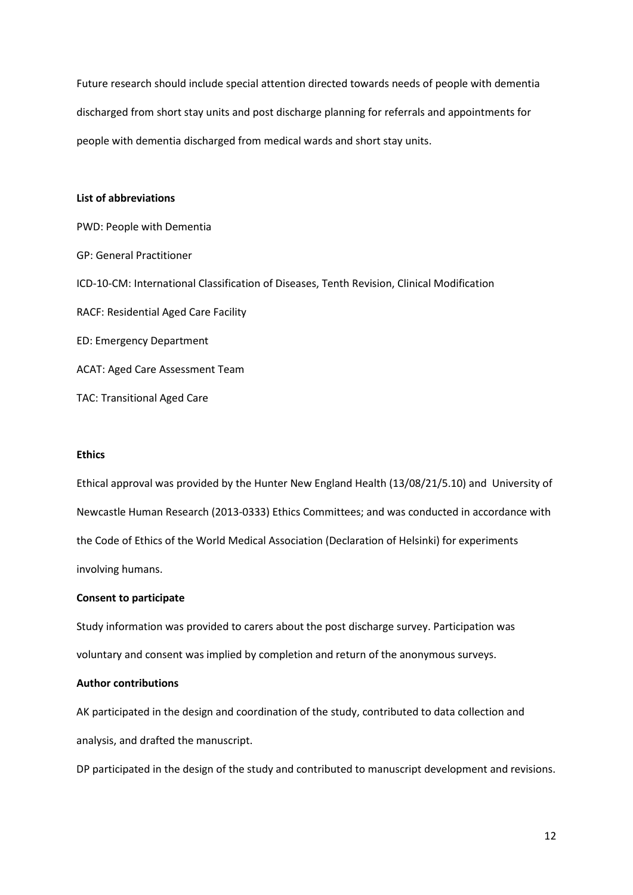Future research should include special attention directed towards needs of people with dementia discharged from short stay units and post discharge planning for referrals and appointments for people with dementia discharged from medical wards and short stay units.

## **List of abbreviations**

PWD: People with Dementia GP: General Practitioner ICD-10-CM: International Classification of Diseases, Tenth Revision, Clinical Modification RACF: Residential Aged Care Facility ED: Emergency Department ACAT: Aged Care Assessment Team TAC: Transitional Aged Care

## **Ethics**

Ethical approval was provided by the Hunter New England Health (13/08/21/5.10) and University of Newcastle Human Research (2013-0333) Ethics Committees; and was conducted in accordance with the Code of Ethics of the World Medical Association (Declaration of Helsinki) for experiments involving humans.

## **Consent to participate**

Study information was provided to carers about the post discharge survey. Participation was voluntary and consent was implied by completion and return of the anonymous surveys.

## **Author contributions**

AK participated in the design and coordination of the study, contributed to data collection and analysis, and drafted the manuscript.

DP participated in the design of the study and contributed to manuscript development and revisions.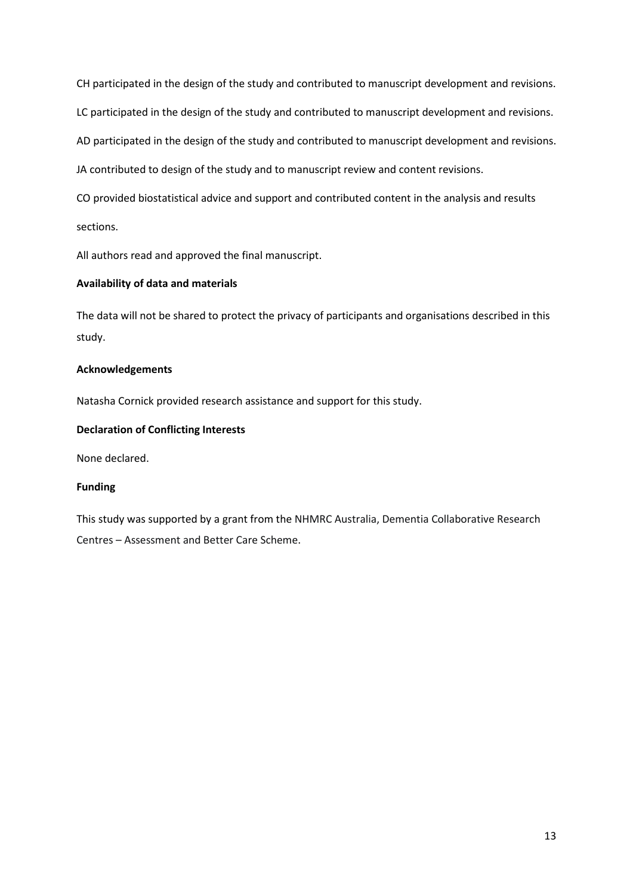CH participated in the design of the study and contributed to manuscript development and revisions.

LC participated in the design of the study and contributed to manuscript development and revisions.

AD participated in the design of the study and contributed to manuscript development and revisions.

JA contributed to design of the study and to manuscript review and content revisions.

CO provided biostatistical advice and support and contributed content in the analysis and results sections.

All authors read and approved the final manuscript.

## **Availability of data and materials**

The data will not be shared to protect the privacy of participants and organisations described in this study.

## **Acknowledgements**

Natasha Cornick provided research assistance and support for this study.

## **Declaration of Conflicting Interests**

None declared.

## **Funding**

This study was supported by a grant from the NHMRC Australia, Dementia Collaborative Research Centres – Assessment and Better Care Scheme.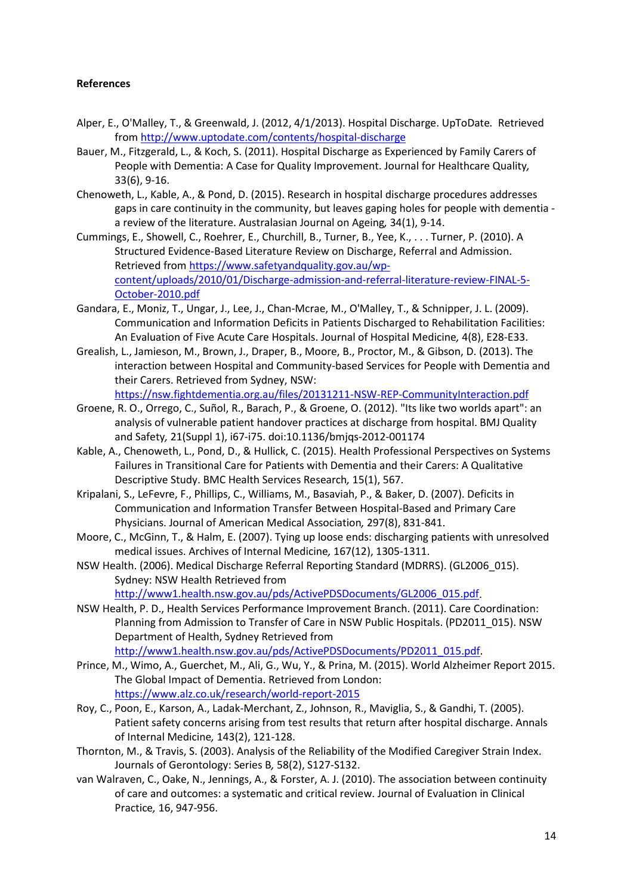## **References**

- Alper, E., O'Malley, T., & Greenwald, J. (2012, 4/1/2013). Hospital Discharge. UpToDate*.* Retrieved from<http://www.uptodate.com/contents/hospital-discharge>
- Bauer, M., Fitzgerald, L., & Koch, S. (2011). Hospital Discharge as Experienced by Family Carers of People with Dementia: A Case for Quality Improvement. Journal for Healthcare Quality*,*  33(6), 9-16.
- Chenoweth, L., Kable, A., & Pond, D. (2015). Research in hospital discharge procedures addresses gaps in care continuity in the community, but leaves gaping holes for people with dementia a review of the literature. Australasian Journal on Ageing*,* 34(1), 9-14.
- Cummings, E., Showell, C., Roehrer, E., Churchill, B., Turner, B., Yee, K., . . . Turner, P. (2010). A Structured Evidence-Based Literature Review on Discharge, Referral and Admission. Retrieved from [https://www.safetyandquality.gov.au/wp](https://www.safetyandquality.gov.au/wp-content/uploads/2010/01/Discharge-admission-and-referral-literature-review-FINAL-5-October-2010.pdf)[content/uploads/2010/01/Discharge-admission-and-referral-literature-review-FINAL-5-](https://www.safetyandquality.gov.au/wp-content/uploads/2010/01/Discharge-admission-and-referral-literature-review-FINAL-5-October-2010.pdf) [October-2010.pdf](https://www.safetyandquality.gov.au/wp-content/uploads/2010/01/Discharge-admission-and-referral-literature-review-FINAL-5-October-2010.pdf)
- Gandara, E., Moniz, T., Ungar, J., Lee, J., Chan-Mcrae, M., O'Malley, T., & Schnipper, J. L. (2009). Communication and Information Deficits in Patients Discharged to Rehabilitation Facilities: An Evaluation of Five Acute Care Hospitals. Journal of Hospital Medicine*,* 4(8), E28-E33.
- Grealish, L., Jamieson, M., Brown, J., Draper, B., Moore, B., Proctor, M., & Gibson, D. (2013). The interaction between Hospital and Community-based Services for People with Dementia and their Carers. Retrieved from Sydney, NSW: <https://nsw.fightdementia.org.au/files/20131211-NSW-REP-CommunityInteraction.pdf>
- Groene, R. O., Orrego, C., Suñol, R., Barach, P., & Groene, O. (2012). "Its like two worlds apart": an analysis of vulnerable patient handover practices at discharge from hospital. BMJ Quality and Safety*,* 21(Suppl 1), i67-i75. doi:10.1136/bmjqs-2012-001174
- Kable, A., Chenoweth, L., Pond, D., & Hullick, C. (2015). Health Professional Perspectives on Systems Failures in Transitional Care for Patients with Dementia and their Carers: A Qualitative Descriptive Study. BMC Health Services Research*,* 15(1), 567.
- Kripalani, S., LeFevre, F., Phillips, C., Williams, M., Basaviah, P., & Baker, D. (2007). Deficits in Communication and Information Transfer Between Hospital-Based and Primary Care Physicians. Journal of American Medical Association*,* 297(8), 831-841.
- Moore, C., McGinn, T., & Halm, E. (2007). Tying up loose ends: discharging patients with unresolved medical issues. Archives of Internal Medicine*,* 167(12), 1305-1311.
- NSW Health. (2006). Medical Discharge Referral Reporting Standard (MDRRS). (GL2006\_015). Sydney: NSW Health Retrieved from

[http://www1.health.nsw.gov.au/pds/ActivePDSDocuments/GL2006\\_015.pdf.](http://www1.health.nsw.gov.au/pds/ActivePDSDocuments/GL2006_015.pdf)

- NSW Health, P. D., Health Services Performance Improvement Branch. (2011). Care Coordination: Planning from Admission to Transfer of Care in NSW Public Hospitals. (PD2011\_015). NSW Department of Health, Sydney Retrieved from
- [http://www1.health.nsw.gov.au/pds/ActivePDSDocuments/PD2011\\_015.pdf.](http://www1.health.nsw.gov.au/pds/ActivePDSDocuments/PD2011_015.pdf) Prince, M., Wimo, A., Guerchet, M., Ali, G., Wu, Y., & Prina, M. (2015). World Alzheimer Report 2015.
- The Global Impact of Dementia. Retrieved from London: <https://www.alz.co.uk/research/world-report-2015>
- Roy, C., Poon, E., Karson, A., Ladak-Merchant, Z., Johnson, R., Maviglia, S., & Gandhi, T. (2005). Patient safety concerns arising from test results that return after hospital discharge. Annals of Internal Medicine*,* 143(2), 121-128.
- Thornton, M., & Travis, S. (2003). Analysis of the Reliability of the Modified Caregiver Strain Index. Journals of Gerontology: Series B*,* 58(2), S127-S132.
- van Walraven, C., Oake, N., Jennings, A., & Forster, A. J. (2010). The association between continuity of care and outcomes: a systematic and critical review. Journal of Evaluation in Clinical Practice*,* 16, 947-956.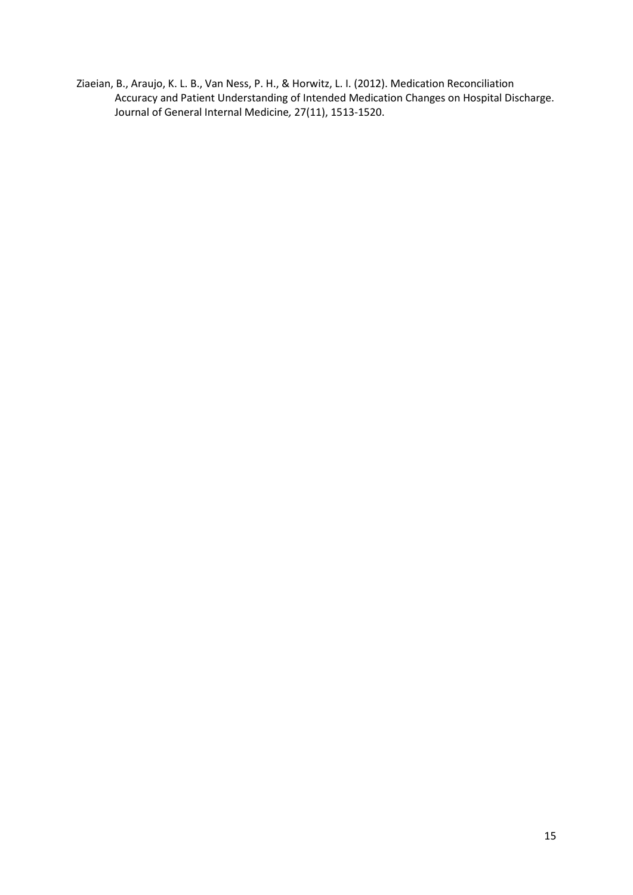Ziaeian, B., Araujo, K. L. B., Van Ness, P. H., & Horwitz, L. I. (2012). Medication Reconciliation Accuracy and Patient Understanding of Intended Medication Changes on Hospital Discharge. Journal of General Internal Medicine*,* 27(11), 1513-1520.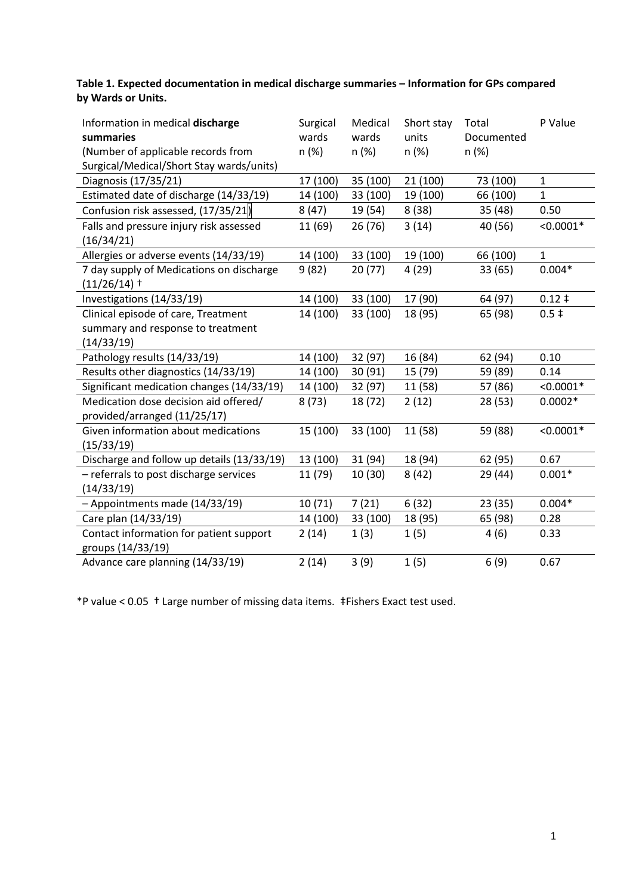**Table 1. Expected documentation in medical discharge summaries – Information for GPs compared by Wards or Units.**

| Information in medical discharge<br>summaries<br>(Number of applicable records from<br>Surgical/Medical/Short Stay wards/units) | Surgical<br>wards<br>n (%) | Medical<br>wards<br>$n (\%)$ | Short stay<br>units<br>n(%) | Total<br>Documented<br>n (%) | P Value      |
|---------------------------------------------------------------------------------------------------------------------------------|----------------------------|------------------------------|-----------------------------|------------------------------|--------------|
| Diagnosis (17/35/21)                                                                                                            | 17 (100)                   | 35 (100)                     | 21 (100)                    | 73 (100)                     | $\mathbf{1}$ |
| Estimated date of discharge (14/33/19)                                                                                          | 14 (100)                   | 33 (100)                     | 19 (100)                    | 66 (100)                     | $\mathbf{1}$ |
| Confusion risk assessed, (17/35/21)                                                                                             | 8(47)                      | 19 (54)                      | 8(38)                       | 35 (48)                      | 0.50         |
| Falls and pressure injury risk assessed<br>(16/34/21)                                                                           | 11 (69)                    | 26 (76)                      | 3(14)                       | 40 (56)                      | $< 0.0001*$  |
| Allergies or adverse events (14/33/19)                                                                                          | 14 (100)                   | 33 (100)                     | 19 (100)                    | 66 (100)                     | $\mathbf{1}$ |
| 7 day supply of Medications on discharge<br>$(11/26/14)$ †                                                                      | 9(82)                      | 20(77)                       | 4(29)                       | 33 (65)                      | $0.004*$     |
| Investigations (14/33/19)                                                                                                       | 14 (100)                   | 33 (100)                     | 17 (90)                     | 64 (97)                      | $0.12 \;$ #  |
| Clinical episode of care, Treatment<br>summary and response to treatment<br>(14/33/19)                                          | 14 (100)                   | 33 (100)                     | 18 (95)                     | 65 (98)                      | $0.5 \;$ ‡   |
| Pathology results (14/33/19)                                                                                                    | 14 (100)                   | 32 (97)                      | 16 (84)                     | 62 (94)                      | 0.10         |
| Results other diagnostics (14/33/19)                                                                                            | 14 (100)                   | 30(91)                       | 15 (79)                     | 59 (89)                      | 0.14         |
| Significant medication changes (14/33/19)                                                                                       | 14 (100)                   | 32 (97)                      | 11 (58)                     | 57 (86)                      | $< 0.0001*$  |
| Medication dose decision aid offered/<br>provided/arranged (11/25/17)                                                           | 8(73)                      | 18 (72)                      | 2(12)                       | 28 (53)                      | $0.0002*$    |
| Given information about medications<br>(15/33/19)                                                                               | 15 (100)                   | 33 (100)                     | 11 (58)                     | 59 (88)                      | $< 0.0001*$  |
| Discharge and follow up details (13/33/19)                                                                                      | 13 (100)                   | 31 (94)                      | 18 (94)                     | 62 (95)                      | 0.67         |
| - referrals to post discharge services<br>(14/33/19)                                                                            | 11 (79)                    | 10(30)                       | 8(42)                       | 29 (44)                      | $0.001*$     |
| - Appointments made (14/33/19)                                                                                                  | 10(71)                     | 7(21)                        | 6(32)                       | 23 (35)                      | $0.004*$     |
| Care plan (14/33/19)                                                                                                            | 14 (100)                   | 33 (100)                     | 18 (95)                     | 65 (98)                      | 0.28         |
| Contact information for patient support<br>groups (14/33/19)                                                                    | 2(14)                      | 1(3)                         | 1(5)                        | 4(6)                         | 0.33         |
| Advance care planning (14/33/19)                                                                                                | 2(14)                      | 3(9)                         | 1(5)                        | 6(9)                         | 0.67         |

\*P value < 0.05 † Large number of missing data items. ‡Fishers Exact test used.